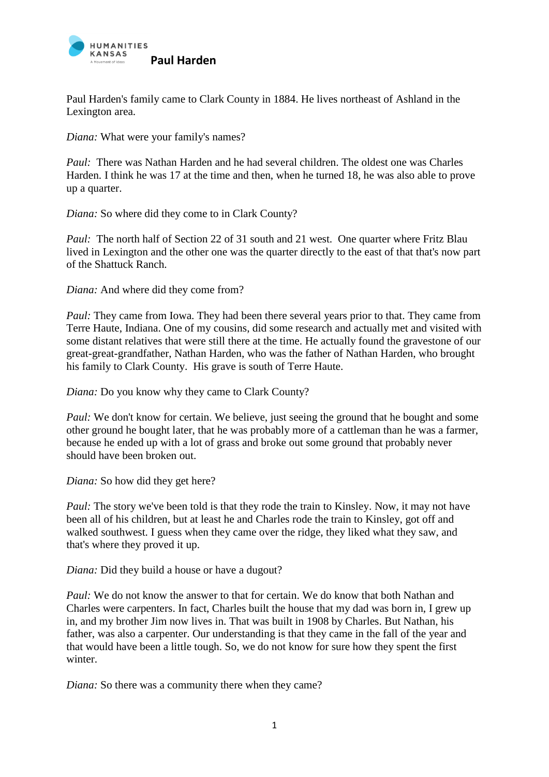

Paul Harden's family came to Clark County in 1884. He lives northeast of Ashland in the Lexington area.

*Diana:* What were your family's names?

*Paul:* There was Nathan Harden and he had several children. The oldest one was Charles Harden. I think he was 17 at the time and then, when he turned 18, he was also able to prove up a quarter.

*Diana:* So where did they come to in Clark County?

*Paul:* The north half of Section 22 of 31 south and 21 west. One quarter where Fritz Blau lived in Lexington and the other one was the quarter directly to the east of that that's now part of the Shattuck Ranch.

*Diana:* And where did they come from?

*Paul:* They came from Iowa. They had been there several years prior to that. They came from Terre Haute, Indiana. One of my cousins, did some research and actually met and visited with some distant relatives that were still there at the time. He actually found the gravestone of our great-great-grandfather, Nathan Harden, who was the father of Nathan Harden, who brought his family to Clark County. His grave is south of Terre Haute.

*Diana:* Do you know why they came to Clark County?

*Paul:* We don't know for certain. We believe, just seeing the ground that he bought and some other ground he bought later, that he was probably more of a cattleman than he was a farmer, because he ended up with a lot of grass and broke out some ground that probably never should have been broken out.

*Diana:* So how did they get here?

*Paul:* The story we've been told is that they rode the train to Kinsley. Now, it may not have been all of his children, but at least he and Charles rode the train to Kinsley, got off and walked southwest. I guess when they came over the ridge, they liked what they saw, and that's where they proved it up.

*Diana:* Did they build a house or have a dugout?

*Paul:* We do not know the answer to that for certain. We do know that both Nathan and Charles were carpenters. In fact, Charles built the house that my dad was born in, I grew up in, and my brother Jim now lives in. That was built in 1908 by Charles. But Nathan, his father, was also a carpenter. Our understanding is that they came in the fall of the year and that would have been a little tough. So, we do not know for sure how they spent the first winter.

*Diana:* So there was a community there when they came?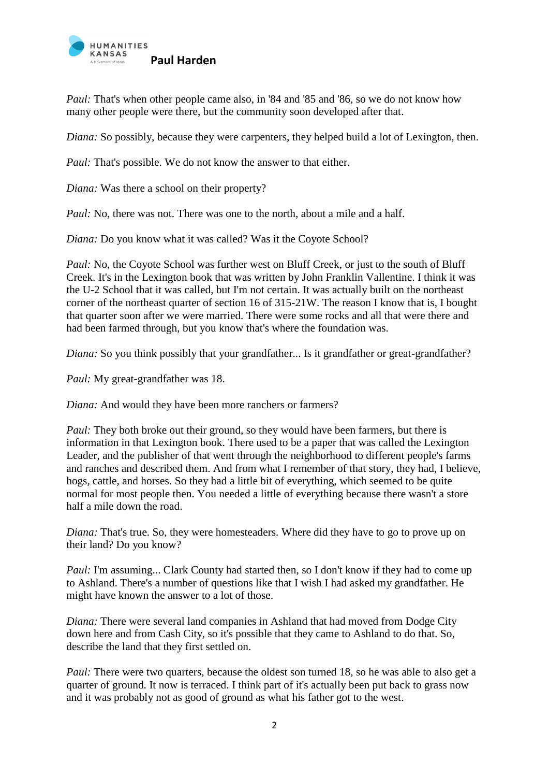

*Paul:* That's when other people came also, in '84 and '85 and '86, so we do not know how many other people were there, but the community soon developed after that.

*Diana:* So possibly, because they were carpenters, they helped build a lot of Lexington, then.

*Paul:* That's possible. We do not know the answer to that either.

*Diana:* Was there a school on their property?

*Paul:* No, there was not. There was one to the north, about a mile and a half.

*Diana:* Do you know what it was called? Was it the Coyote School?

*Paul:* No, the Coyote School was further west on Bluff Creek, or just to the south of Bluff Creek. It's in the Lexington book that was written by John Franklin Vallentine. I think it was the U-2 School that it was called, but I'm not certain. It was actually built on the northeast corner of the northeast quarter of section 16 of 315-21W. The reason I know that is, I bought that quarter soon after we were married. There were some rocks and all that were there and had been farmed through, but you know that's where the foundation was.

*Diana:* So you think possibly that your grandfather... Is it grandfather or great-grandfather?

*Paul:* My great-grandfather was 18.

*Diana:* And would they have been more ranchers or farmers?

*Paul:* They both broke out their ground, so they would have been farmers, but there is information in that Lexington book. There used to be a paper that was called the Lexington Leader, and the publisher of that went through the neighborhood to different people's farms and ranches and described them. And from what I remember of that story, they had, I believe, hogs, cattle, and horses. So they had a little bit of everything, which seemed to be quite normal for most people then. You needed a little of everything because there wasn't a store half a mile down the road.

*Diana:* That's true. So, they were homesteaders. Where did they have to go to prove up on their land? Do you know?

*Paul: I'm assuming...* Clark County had started then, so I don't know if they had to come up to Ashland. There's a number of questions like that I wish I had asked my grandfather. He might have known the answer to a lot of those.

*Diana:* There were several land companies in Ashland that had moved from Dodge City down here and from Cash City, so it's possible that they came to Ashland to do that. So, describe the land that they first settled on.

*Paul:* There were two quarters, because the oldest son turned 18, so he was able to also get a quarter of ground. It now is terraced. I think part of it's actually been put back to grass now and it was probably not as good of ground as what his father got to the west.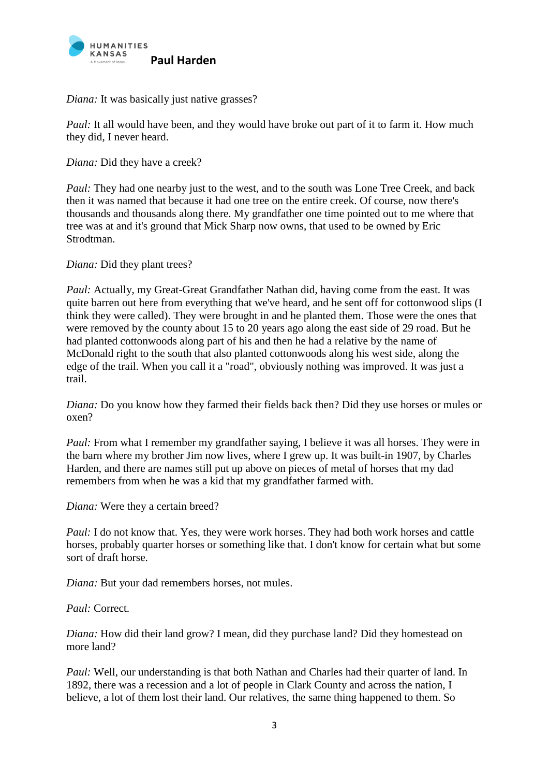

*Diana:* It was basically just native grasses?

*Paul:* It all would have been, and they would have broke out part of it to farm it. How much they did, I never heard.

*Diana:* Did they have a creek?

*Paul:* They had one nearby just to the west, and to the south was Lone Tree Creek, and back then it was named that because it had one tree on the entire creek. Of course, now there's thousands and thousands along there. My grandfather one time pointed out to me where that tree was at and it's ground that Mick Sharp now owns, that used to be owned by Eric Strodtman.

*Diana:* Did they plant trees?

*Paul: Actually, my Great-Great Grandfather Nathan did, having come from the east. It was* quite barren out here from everything that we've heard, and he sent off for cottonwood slips (I think they were called). They were brought in and he planted them. Those were the ones that were removed by the county about 15 to 20 years ago along the east side of 29 road. But he had planted cottonwoods along part of his and then he had a relative by the name of McDonald right to the south that also planted cottonwoods along his west side, along the edge of the trail. When you call it a "road", obviously nothing was improved. It was just a trail.

*Diana:* Do you know how they farmed their fields back then? Did they use horses or mules or oxen?

*Paul:* From what I remember my grandfather saying, I believe it was all horses. They were in the barn where my brother Jim now lives, where I grew up. It was built-in 1907, by Charles Harden, and there are names still put up above on pieces of metal of horses that my dad remembers from when he was a kid that my grandfather farmed with.

*Diana:* Were they a certain breed?

*Paul: I do not know that. Yes, they were work horses. They had both work horses and cattle* horses, probably quarter horses or something like that. I don't know for certain what but some sort of draft horse.

*Diana:* But your dad remembers horses, not mules.

*Paul:* Correct.

*Diana:* How did their land grow? I mean, did they purchase land? Did they homestead on more land?

*Paul:* Well, our understanding is that both Nathan and Charles had their quarter of land. In 1892, there was a recession and a lot of people in Clark County and across the nation, I believe, a lot of them lost their land. Our relatives, the same thing happened to them. So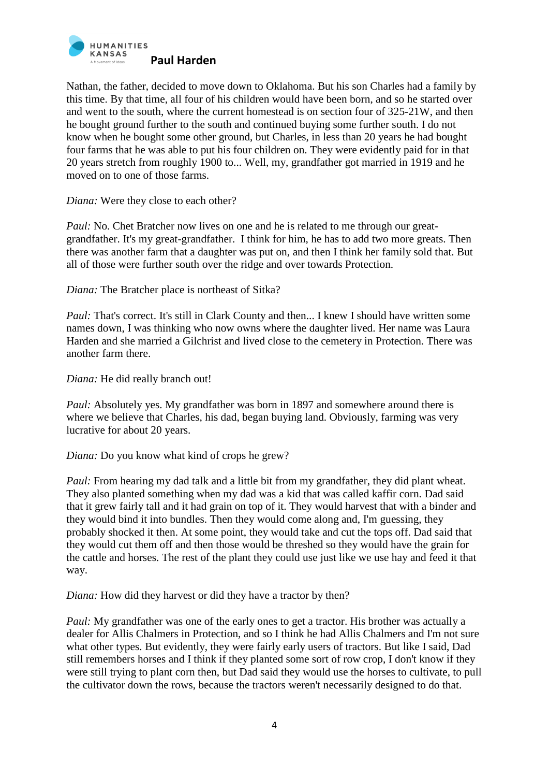

Nathan, the father, decided to move down to Oklahoma. But his son Charles had a family by this time. By that time, all four of his children would have been born, and so he started over and went to the south, where the current homestead is on section four of 325-21W, and then he bought ground further to the south and continued buying some further south. I do not know when he bought some other ground, but Charles, in less than 20 years he had bought four farms that he was able to put his four children on. They were evidently paid for in that 20 years stretch from roughly 1900 to... Well, my, grandfather got married in 1919 and he moved on to one of those farms.

*Diana:* Were they close to each other?

*Paul:* No. Chet Bratcher now lives on one and he is related to me through our greatgrandfather. It's my great-grandfather. I think for him, he has to add two more greats. Then there was another farm that a daughter was put on, and then I think her family sold that. But all of those were further south over the ridge and over towards Protection.

*Diana:* The Bratcher place is northeast of Sitka?

*Paul:* That's correct. It's still in Clark County and then... I knew I should have written some names down, I was thinking who now owns where the daughter lived. Her name was Laura Harden and she married a Gilchrist and lived close to the cemetery in Protection. There was another farm there.

*Diana:* He did really branch out!

*Paul:* Absolutely yes. My grandfather was born in 1897 and somewhere around there is where we believe that Charles, his dad, began buying land. Obviously, farming was very lucrative for about 20 years.

*Diana:* Do you know what kind of crops he grew?

*Paul:* From hearing my dad talk and a little bit from my grandfather, they did plant wheat. They also planted something when my dad was a kid that was called kaffir corn. Dad said that it grew fairly tall and it had grain on top of it. They would harvest that with a binder and they would bind it into bundles. Then they would come along and, I'm guessing, they probably shocked it then. At some point, they would take and cut the tops off. Dad said that they would cut them off and then those would be threshed so they would have the grain for the cattle and horses. The rest of the plant they could use just like we use hay and feed it that way.

*Diana:* How did they harvest or did they have a tractor by then?

*Paul:* My grandfather was one of the early ones to get a tractor. His brother was actually a dealer for Allis Chalmers in Protection, and so I think he had Allis Chalmers and I'm not sure what other types. But evidently, they were fairly early users of tractors. But like I said, Dad still remembers horses and I think if they planted some sort of row crop, I don't know if they were still trying to plant corn then, but Dad said they would use the horses to cultivate, to pull the cultivator down the rows, because the tractors weren't necessarily designed to do that.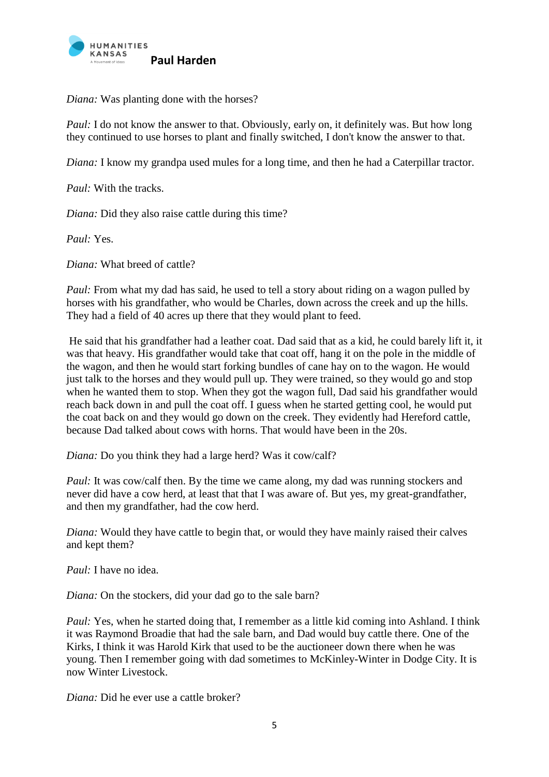

*Diana:* Was planting done with the horses?

*Paul: I do not know the answer to that. Obviously, early on, it definitely was. But how long* they continued to use horses to plant and finally switched, I don't know the answer to that.

*Diana:* I know my grandpa used mules for a long time, and then he had a Caterpillar tractor.

*Paul:* With the tracks.

*Diana:* Did they also raise cattle during this time?

*Paul:* Yes.

*Diana:* What breed of cattle?

*Paul:* From what my dad has said, he used to tell a story about riding on a wagon pulled by horses with his grandfather, who would be Charles, down across the creek and up the hills. They had a field of 40 acres up there that they would plant to feed.

He said that his grandfather had a leather coat. Dad said that as a kid, he could barely lift it, it was that heavy. His grandfather would take that coat off, hang it on the pole in the middle of the wagon, and then he would start forking bundles of cane hay on to the wagon. He would just talk to the horses and they would pull up. They were trained, so they would go and stop when he wanted them to stop. When they got the wagon full, Dad said his grandfather would reach back down in and pull the coat off. I guess when he started getting cool, he would put the coat back on and they would go down on the creek. They evidently had Hereford cattle, because Dad talked about cows with horns. That would have been in the 20s.

*Diana:* Do you think they had a large herd? Was it cow/calf?

*Paul:* It was cow/calf then. By the time we came along, my dad was running stockers and never did have a cow herd, at least that that I was aware of. But yes, my great-grandfather, and then my grandfather, had the cow herd.

*Diana:* Would they have cattle to begin that, or would they have mainly raised their calves and kept them?

*Paul:* I have no idea.

*Diana:* On the stockers, did your dad go to the sale barn?

*Paul: Yes, when he started doing that, I remember as a little kid coming into Ashland. I think* it was Raymond Broadie that had the sale barn, and Dad would buy cattle there. One of the Kirks, I think it was Harold Kirk that used to be the auctioneer down there when he was young. Then I remember going with dad sometimes to McKinley-Winter in Dodge City. It is now Winter Livestock.

*Diana:* Did he ever use a cattle broker?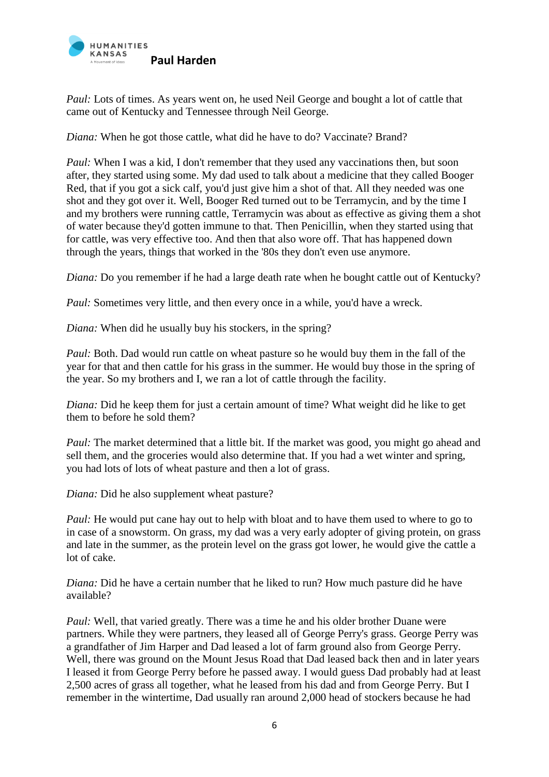

*Paul:* Lots of times. As years went on, he used Neil George and bought a lot of cattle that came out of Kentucky and Tennessee through Neil George.

*Diana:* When he got those cattle, what did he have to do? Vaccinate? Brand?

*Paul:* When I was a kid, I don't remember that they used any vaccinations then, but soon after, they started using some. My dad used to talk about a medicine that they called Booger Red, that if you got a sick calf, you'd just give him a shot of that. All they needed was one shot and they got over it. Well, Booger Red turned out to be Terramycin, and by the time I and my brothers were running cattle, Terramycin was about as effective as giving them a shot of water because they'd gotten immune to that. Then Penicillin, when they started using that for cattle, was very effective too. And then that also wore off. That has happened down through the years, things that worked in the '80s they don't even use anymore.

*Diana:* Do you remember if he had a large death rate when he bought cattle out of Kentucky?

*Paul:* Sometimes very little, and then every once in a while, you'd have a wreck.

*Diana:* When did he usually buy his stockers, in the spring?

*Paul:* Both. Dad would run cattle on wheat pasture so he would buy them in the fall of the year for that and then cattle for his grass in the summer. He would buy those in the spring of the year. So my brothers and I, we ran a lot of cattle through the facility.

*Diana:* Did he keep them for just a certain amount of time? What weight did he like to get them to before he sold them?

*Paul:* The market determined that a little bit. If the market was good, you might go ahead and sell them, and the groceries would also determine that. If you had a wet winter and spring, you had lots of lots of wheat pasture and then a lot of grass.

*Diana:* Did he also supplement wheat pasture?

*Paul:* He would put cane hay out to help with bloat and to have them used to where to go to in case of a snowstorm. On grass, my dad was a very early adopter of giving protein, on grass and late in the summer, as the protein level on the grass got lower, he would give the cattle a lot of cake.

*Diana:* Did he have a certain number that he liked to run? How much pasture did he have available?

*Paul:* Well, that varied greatly. There was a time he and his older brother Duane were partners. While they were partners, they leased all of George Perry's grass. George Perry was a grandfather of Jim Harper and Dad leased a lot of farm ground also from George Perry. Well, there was ground on the Mount Jesus Road that Dad leased back then and in later years I leased it from George Perry before he passed away. I would guess Dad probably had at least 2,500 acres of grass all together, what he leased from his dad and from George Perry. But I remember in the wintertime, Dad usually ran around 2,000 head of stockers because he had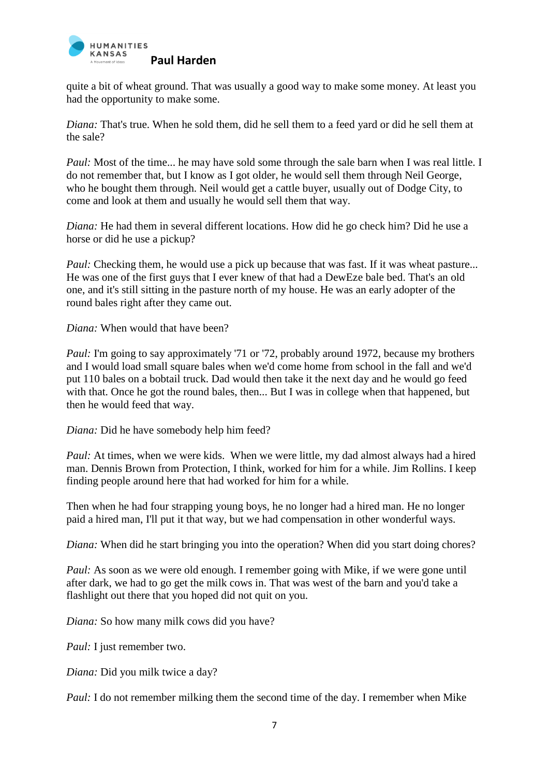

quite a bit of wheat ground. That was usually a good way to make some money. At least you had the opportunity to make some.

*Diana:* That's true. When he sold them, did he sell them to a feed yard or did he sell them at the sale?

*Paul:* Most of the time... he may have sold some through the sale barn when I was real little. I do not remember that, but I know as I got older, he would sell them through Neil George, who he bought them through. Neil would get a cattle buyer, usually out of Dodge City, to come and look at them and usually he would sell them that way.

*Diana:* He had them in several different locations. How did he go check him? Did he use a horse or did he use a pickup?

*Paul:* Checking them, he would use a pick up because that was fast. If it was wheat pasture... He was one of the first guys that I ever knew of that had a DewEze bale bed. That's an old one, and it's still sitting in the pasture north of my house. He was an early adopter of the round bales right after they came out.

*Diana:* When would that have been?

*Paul: I'm going to say approximately '71 or '72, probably around 1972, because my brothers* and I would load small square bales when we'd come home from school in the fall and we'd put 110 bales on a bobtail truck. Dad would then take it the next day and he would go feed with that. Once he got the round bales, then... But I was in college when that happened, but then he would feed that way.

*Diana:* Did he have somebody help him feed?

*Paul:* At times, when we were kids. When we were little, my dad almost always had a hired man. Dennis Brown from Protection, I think, worked for him for a while. Jim Rollins. I keep finding people around here that had worked for him for a while.

Then when he had four strapping young boys, he no longer had a hired man. He no longer paid a hired man, I'll put it that way, but we had compensation in other wonderful ways.

*Diana:* When did he start bringing you into the operation? When did you start doing chores?

*Paul:* As soon as we were old enough. I remember going with Mike, if we were gone until after dark, we had to go get the milk cows in. That was west of the barn and you'd take a flashlight out there that you hoped did not quit on you.

*Diana:* So how many milk cows did you have?

*Paul:* I just remember two.

*Diana:* Did you milk twice a day?

*Paul:* I do not remember milking them the second time of the day. I remember when Mike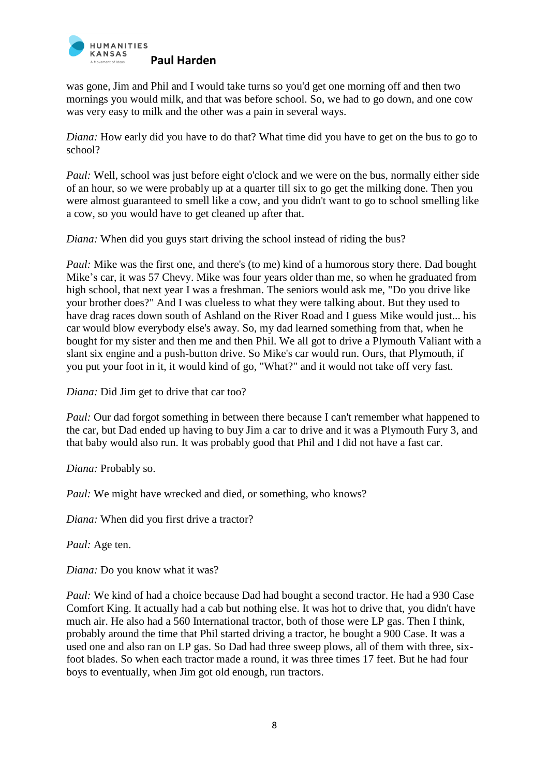

was gone, Jim and Phil and I would take turns so you'd get one morning off and then two mornings you would milk, and that was before school. So, we had to go down, and one cow was very easy to milk and the other was a pain in several ways.

*Diana:* How early did you have to do that? What time did you have to get on the bus to go to school?

*Paul:* Well, school was just before eight o'clock and we were on the bus, normally either side of an hour, so we were probably up at a quarter till six to go get the milking done. Then you were almost guaranteed to smell like a cow, and you didn't want to go to school smelling like a cow, so you would have to get cleaned up after that.

*Diana:* When did you guys start driving the school instead of riding the bus?

*Paul:* Mike was the first one, and there's (to me) kind of a humorous story there. Dad bought Mike's car, it was 57 Chevy. Mike was four years older than me, so when he graduated from high school, that next year I was a freshman. The seniors would ask me, "Do you drive like your brother does?" And I was clueless to what they were talking about. But they used to have drag races down south of Ashland on the River Road and I guess Mike would just... his car would blow everybody else's away. So, my dad learned something from that, when he bought for my sister and then me and then Phil. We all got to drive a Plymouth Valiant with a slant six engine and a push-button drive. So Mike's car would run. Ours, that Plymouth, if you put your foot in it, it would kind of go, "What?" and it would not take off very fast.

*Diana:* Did Jim get to drive that car too?

*Paul:* Our dad forgot something in between there because I can't remember what happened to the car, but Dad ended up having to buy Jim a car to drive and it was a Plymouth Fury 3, and that baby would also run. It was probably good that Phil and I did not have a fast car.

*Diana:* Probably so.

*Paul:* We might have wrecked and died, or something, who knows?

*Diana:* When did you first drive a tractor?

*Paul:* Age ten.

*Diana:* Do you know what it was?

*Paul:* We kind of had a choice because Dad had bought a second tractor. He had a 930 Case Comfort King. It actually had a cab but nothing else. It was hot to drive that, you didn't have much air. He also had a 560 International tractor, both of those were LP gas. Then I think, probably around the time that Phil started driving a tractor, he bought a 900 Case. It was a used one and also ran on LP gas. So Dad had three sweep plows, all of them with three, sixfoot blades. So when each tractor made a round, it was three times 17 feet. But he had four boys to eventually, when Jim got old enough, run tractors.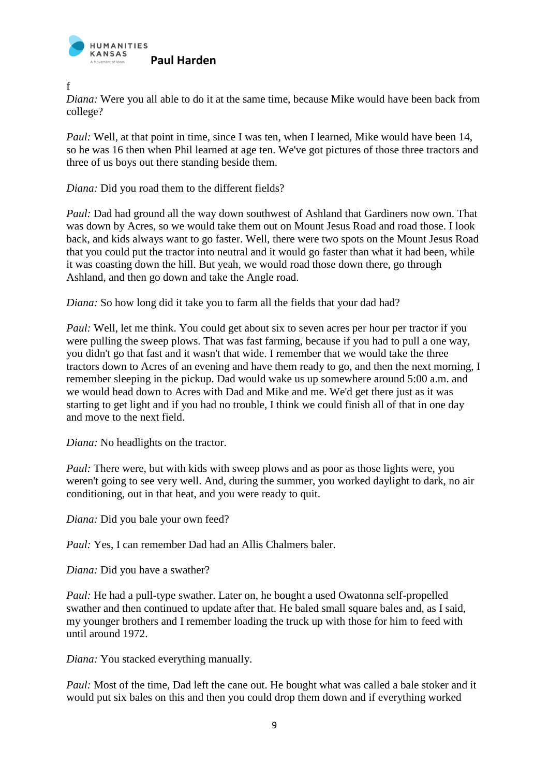

f

*Diana:* Were you all able to do it at the same time, because Mike would have been back from college?

*Paul:* Well, at that point in time, since I was ten, when I learned. Mike would have been 14, so he was 16 then when Phil learned at age ten. We've got pictures of those three tractors and three of us boys out there standing beside them.

*Diana:* Did you road them to the different fields?

*Paul: Dad had ground all the way down southwest of Ashland that Gardiners now own. That* was down by Acres, so we would take them out on Mount Jesus Road and road those. I look back, and kids always want to go faster. Well, there were two spots on the Mount Jesus Road that you could put the tractor into neutral and it would go faster than what it had been, while it was coasting down the hill. But yeah, we would road those down there, go through Ashland, and then go down and take the Angle road.

*Diana:* So how long did it take you to farm all the fields that your dad had?

*Paul:* Well, let me think. You could get about six to seven acres per hour per tractor if you were pulling the sweep plows. That was fast farming, because if you had to pull a one way, you didn't go that fast and it wasn't that wide. I remember that we would take the three tractors down to Acres of an evening and have them ready to go, and then the next morning, I remember sleeping in the pickup. Dad would wake us up somewhere around 5:00 a.m. and we would head down to Acres with Dad and Mike and me. We'd get there just as it was starting to get light and if you had no trouble, I think we could finish all of that in one day and move to the next field.

*Diana:* No headlights on the tractor.

*Paul:* There were, but with kids with sweep plows and as poor as those lights were, you weren't going to see very well. And, during the summer, you worked daylight to dark, no air conditioning, out in that heat, and you were ready to quit.

*Diana:* Did you bale your own feed?

*Paul: Yes, I can remember Dad had an Allis Chalmers baler.* 

*Diana:* Did you have a swather?

*Paul:* He had a pull-type swather. Later on, he bought a used Owatonna self-propelled swather and then continued to update after that. He baled small square bales and, as I said, my younger brothers and I remember loading the truck up with those for him to feed with until around 1972.

*Diana:* You stacked everything manually.

*Paul:* Most of the time, Dad left the cane out. He bought what was called a bale stoker and it would put six bales on this and then you could drop them down and if everything worked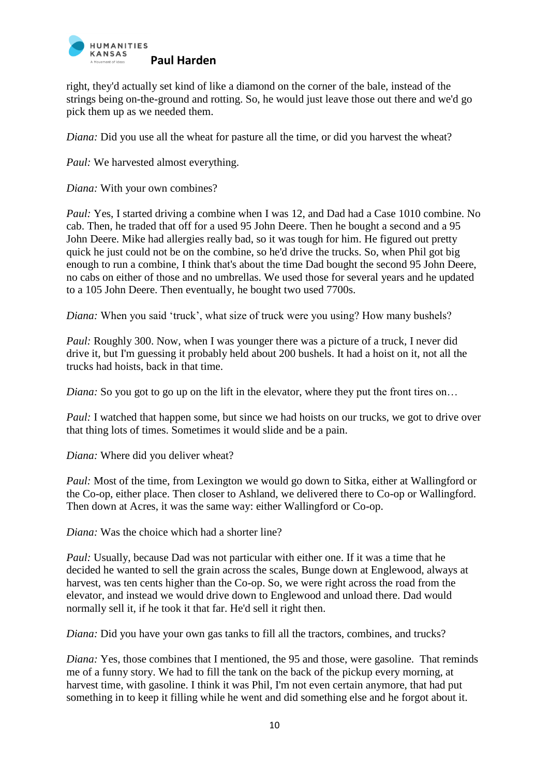

right, they'd actually set kind of like a diamond on the corner of the bale, instead of the strings being on-the-ground and rotting. So, he would just leave those out there and we'd go pick them up as we needed them.

*Diana:* Did you use all the wheat for pasture all the time, or did you harvest the wheat?

*Paul:* We harvested almost everything.

*Diana:* With your own combines?

*Paul: Yes, I started driving a combine when I was 12, and Dad had a Case 1010 combine. No* cab. Then, he traded that off for a used 95 John Deere. Then he bought a second and a 95 John Deere. Mike had allergies really bad, so it was tough for him. He figured out pretty quick he just could not be on the combine, so he'd drive the trucks. So, when Phil got big enough to run a combine, I think that's about the time Dad bought the second 95 John Deere, no cabs on either of those and no umbrellas. We used those for several years and he updated to a 105 John Deere. Then eventually, he bought two used 7700s.

*Diana:* When you said 'truck', what size of truck were you using? How many bushels?

*Paul:* Roughly 300. Now, when I was younger there was a picture of a truck, I never did drive it, but I'm guessing it probably held about 200 bushels. It had a hoist on it, not all the trucks had hoists, back in that time.

*Diana:* So you got to go up on the lift in the elevator, where they put the front tires on...

*Paul:* I watched that happen some, but since we had hoists on our trucks, we got to drive over that thing lots of times. Sometimes it would slide and be a pain.

*Diana:* Where did you deliver wheat?

*Paul:* Most of the time, from Lexington we would go down to Sitka, either at Wallingford or the Co-op, either place. Then closer to Ashland, we delivered there to Co-op or Wallingford. Then down at Acres, it was the same way: either Wallingford or Co-op.

*Diana:* Was the choice which had a shorter line?

*Paul:* Usually, because Dad was not particular with either one. If it was a time that he decided he wanted to sell the grain across the scales, Bunge down at Englewood, always at harvest, was ten cents higher than the Co-op. So, we were right across the road from the elevator, and instead we would drive down to Englewood and unload there. Dad would normally sell it, if he took it that far. He'd sell it right then.

*Diana:* Did you have your own gas tanks to fill all the tractors, combines, and trucks?

*Diana:* Yes, those combines that I mentioned, the 95 and those, were gasoline. That reminds me of a funny story. We had to fill the tank on the back of the pickup every morning, at harvest time, with gasoline. I think it was Phil, I'm not even certain anymore, that had put something in to keep it filling while he went and did something else and he forgot about it.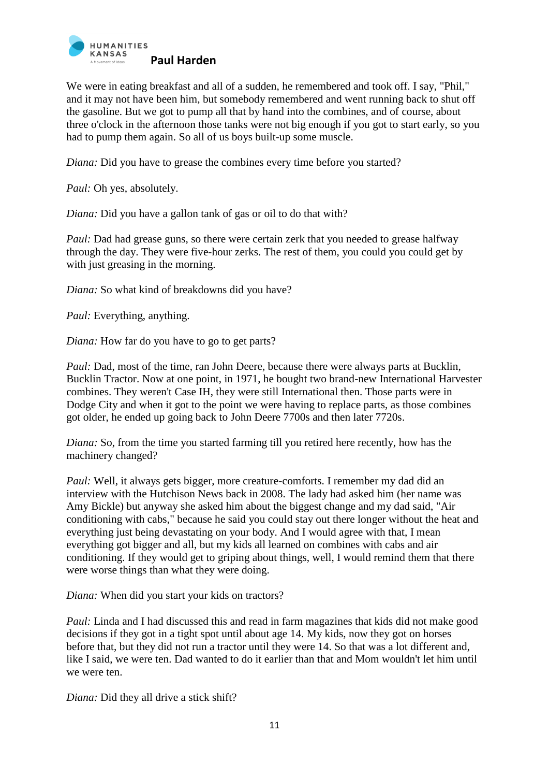

We were in eating breakfast and all of a sudden, he remembered and took off. I say, "Phil," and it may not have been him, but somebody remembered and went running back to shut off the gasoline. But we got to pump all that by hand into the combines, and of course, about three o'clock in the afternoon those tanks were not big enough if you got to start early, so you had to pump them again. So all of us boys built-up some muscle.

*Diana:* Did you have to grease the combines every time before you started?

*Paul:* Oh yes, absolutely.

*Diana:* Did you have a gallon tank of gas or oil to do that with?

*Paul:* Dad had grease guns, so there were certain zerk that you needed to grease halfway through the day. They were five-hour zerks. The rest of them, you could you could get by with just greasing in the morning.

*Diana:* So what kind of breakdowns did you have?

*Paul:* Everything, anything.

*Diana:* How far do you have to go to get parts?

*Paul: Dad, most of the time, ran John Deere, because there were always parts at Bucklin,* Bucklin Tractor. Now at one point, in 1971, he bought two brand-new International Harvester combines. They weren't Case IH, they were still International then. Those parts were in Dodge City and when it got to the point we were having to replace parts, as those combines got older, he ended up going back to John Deere 7700s and then later 7720s.

*Diana:* So, from the time you started farming till you retired here recently, how has the machinery changed?

*Paul:* Well, it always gets bigger, more creature-comforts. I remember my dad did an interview with the Hutchison News back in 2008. The lady had asked him (her name was Amy Bickle) but anyway she asked him about the biggest change and my dad said, "Air conditioning with cabs," because he said you could stay out there longer without the heat and everything just being devastating on your body. And I would agree with that, I mean everything got bigger and all, but my kids all learned on combines with cabs and air conditioning. If they would get to griping about things, well, I would remind them that there were worse things than what they were doing.

*Diana:* When did you start your kids on tractors?

*Paul:* Linda and I had discussed this and read in farm magazines that kids did not make good decisions if they got in a tight spot until about age 14. My kids, now they got on horses before that, but they did not run a tractor until they were 14. So that was a lot different and, like I said, we were ten. Dad wanted to do it earlier than that and Mom wouldn't let him until we were ten.

*Diana:* Did they all drive a stick shift?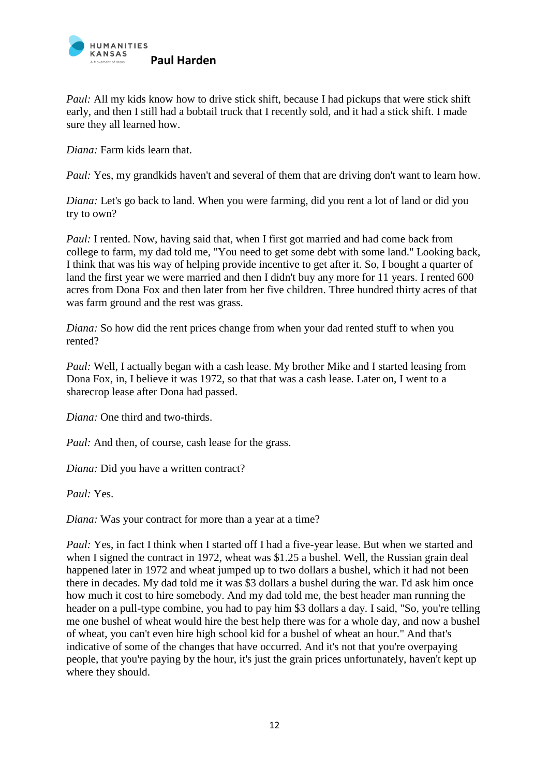

*Paul:* All my kids know how to drive stick shift, because I had pickups that were stick shift early, and then I still had a bobtail truck that I recently sold, and it had a stick shift. I made sure they all learned how.

*Diana:* Farm kids learn that.

*Paul: Yes, my grandkids haven't and several of them that are driving don't want to learn how.* 

*Diana:* Let's go back to land. When you were farming, did you rent a lot of land or did you try to own?

*Paul: I rented.* Now, having said that, when I first got married and had come back from college to farm, my dad told me, "You need to get some debt with some land." Looking back, I think that was his way of helping provide incentive to get after it. So, I bought a quarter of land the first year we were married and then I didn't buy any more for 11 years. I rented 600 acres from Dona Fox and then later from her five children. Three hundred thirty acres of that was farm ground and the rest was grass.

*Diana:* So how did the rent prices change from when your dad rented stuff to when you rented?

*Paul:* Well, I actually began with a cash lease. My brother Mike and I started leasing from Dona Fox, in, I believe it was 1972, so that that was a cash lease. Later on, I went to a sharecrop lease after Dona had passed.

*Diana:* One third and two-thirds.

*Paul:* And then, of course, cash lease for the grass.

*Diana:* Did you have a written contract?

*Paul:* Yes.

*Diana:* Was your contract for more than a year at a time?

*Paul: Yes, in fact I think when I started off I had a five-year lease. But when we started and* when I signed the contract in 1972, wheat was \$1.25 a bushel. Well, the Russian grain deal happened later in 1972 and wheat jumped up to two dollars a bushel, which it had not been there in decades. My dad told me it was \$3 dollars a bushel during the war. I'd ask him once how much it cost to hire somebody. And my dad told me, the best header man running the header on a pull-type combine, you had to pay him \$3 dollars a day. I said, "So, you're telling me one bushel of wheat would hire the best help there was for a whole day, and now a bushel of wheat, you can't even hire high school kid for a bushel of wheat an hour." And that's indicative of some of the changes that have occurred. And it's not that you're overpaying people, that you're paying by the hour, it's just the grain prices unfortunately, haven't kept up where they should.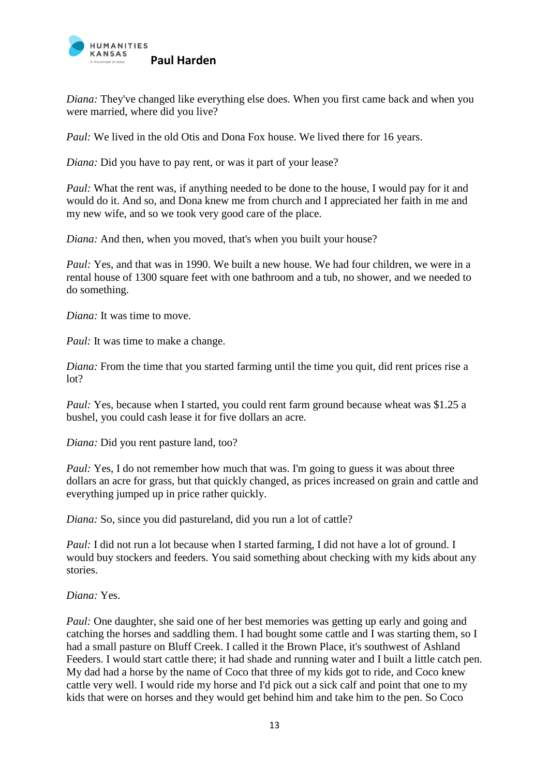

*Diana:* They've changed like everything else does. When you first came back and when you were married, where did you live?

*Paul:* We lived in the old Otis and Dona Fox house. We lived there for 16 years.

*Diana:* Did you have to pay rent, or was it part of your lease?

*Paul:* What the rent was, if anything needed to be done to the house, I would pay for it and would do it. And so, and Dona knew me from church and I appreciated her faith in me and my new wife, and so we took very good care of the place.

*Diana:* And then, when you moved, that's when you built your house?

*Paul: Yes, and that was in 1990. We built a new house. We had four children, we were in a* rental house of 1300 square feet with one bathroom and a tub, no shower, and we needed to do something.

*Diana:* It was time to move.

*Paul:* It was time to make a change.

*Diana:* From the time that you started farming until the time you quit, did rent prices rise a lot?

*Paul: Yes, because when I started, you could rent farm ground because wheat was* \$1.25 a bushel, you could cash lease it for five dollars an acre.

*Diana:* Did you rent pasture land, too?

*Paul: Yes, I do not remember how much that was. I'm going to guess it was about three* dollars an acre for grass, but that quickly changed, as prices increased on grain and cattle and everything jumped up in price rather quickly.

*Diana:* So, since you did pastureland, did you run a lot of cattle?

*Paul: I did not run a lot because when I started farming, I did not have a lot of ground. I* would buy stockers and feeders. You said something about checking with my kids about any stories.

*Diana:* Yes.

*Paul:* One daughter, she said one of her best memories was getting up early and going and catching the horses and saddling them. I had bought some cattle and I was starting them, so I had a small pasture on Bluff Creek. I called it the Brown Place, it's southwest of Ashland Feeders. I would start cattle there; it had shade and running water and I built a little catch pen. My dad had a horse by the name of Coco that three of my kids got to ride, and Coco knew cattle very well. I would ride my horse and I'd pick out a sick calf and point that one to my kids that were on horses and they would get behind him and take him to the pen. So Coco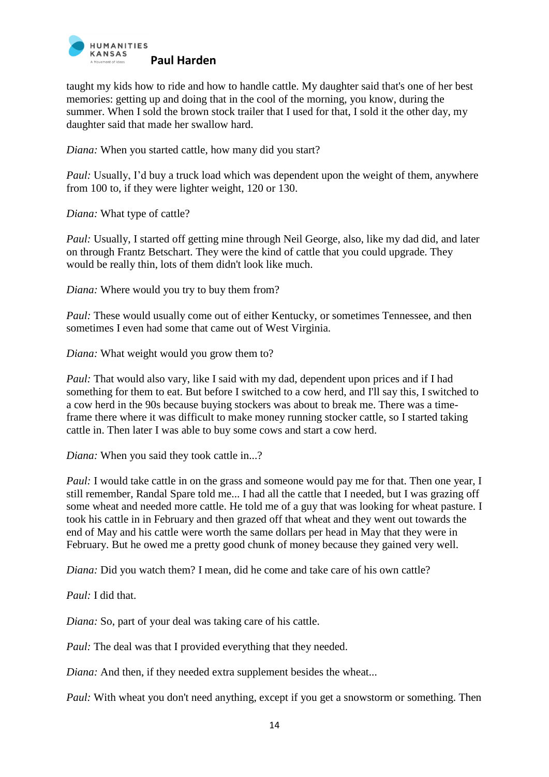

taught my kids how to ride and how to handle cattle. My daughter said that's one of her best memories: getting up and doing that in the cool of the morning, you know, during the summer. When I sold the brown stock trailer that I used for that, I sold it the other day, my daughter said that made her swallow hard.

*Diana:* When you started cattle, how many did you start?

*Paul:* Usually, I'd buy a truck load which was dependent upon the weight of them, anywhere from 100 to, if they were lighter weight, 120 or 130.

*Diana:* What type of cattle?

*Paul:* Usually, I started off getting mine through Neil George, also, like my dad did, and later on through Frantz Betschart. They were the kind of cattle that you could upgrade. They would be really thin, lots of them didn't look like much.

*Diana:* Where would you try to buy them from?

*Paul:* These would usually come out of either Kentucky, or sometimes Tennessee, and then sometimes I even had some that came out of West Virginia.

*Diana:* What weight would you grow them to?

*Paul:* That would also vary, like I said with my dad, dependent upon prices and if I had something for them to eat. But before I switched to a cow herd, and I'll say this, I switched to a cow herd in the 90s because buying stockers was about to break me. There was a timeframe there where it was difficult to make money running stocker cattle, so I started taking cattle in. Then later I was able to buy some cows and start a cow herd.

*Diana:* When you said they took cattle in...?

*Paul:* I would take cattle in on the grass and someone would pay me for that. Then one year, I still remember, Randal Spare told me... I had all the cattle that I needed, but I was grazing off some wheat and needed more cattle. He told me of a guy that was looking for wheat pasture. I took his cattle in in February and then grazed off that wheat and they went out towards the end of May and his cattle were worth the same dollars per head in May that they were in February. But he owed me a pretty good chunk of money because they gained very well.

*Diana:* Did you watch them? I mean, did he come and take care of his own cattle?

*Paul:* I did that.

*Diana:* So, part of your deal was taking care of his cattle.

*Paul:* The deal was that I provided everything that they needed.

*Diana:* And then, if they needed extra supplement besides the wheat...

*Paul:* With wheat you don't need anything, except if you get a snowstorm or something. Then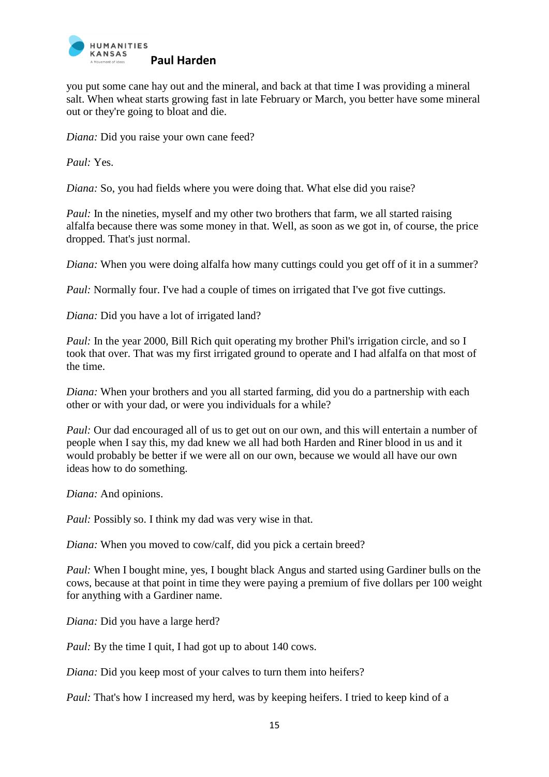

you put some cane hay out and the mineral, and back at that time I was providing a mineral salt. When wheat starts growing fast in late February or March, you better have some mineral out or they're going to bloat and die.

*Diana:* Did you raise your own cane feed?

*Paul:* Yes.

*Diana:* So, you had fields where you were doing that. What else did you raise?

*Paul:* In the nineties, myself and my other two brothers that farm, we all started raising alfalfa because there was some money in that. Well, as soon as we got in, of course, the price dropped. That's just normal.

*Diana:* When you were doing alfalfa how many cuttings could you get off of it in a summer?

*Paul:* Normally four. I've had a couple of times on irrigated that I've got five cuttings.

*Diana:* Did you have a lot of irrigated land?

*Paul:* In the year 2000, Bill Rich quit operating my brother Phil's irrigation circle, and so I took that over. That was my first irrigated ground to operate and I had alfalfa on that most of the time.

*Diana:* When your brothers and you all started farming, did you do a partnership with each other or with your dad, or were you individuals for a while?

*Paul:* Our dad encouraged all of us to get out on our own, and this will entertain a number of people when I say this, my dad knew we all had both Harden and Riner blood in us and it would probably be better if we were all on our own, because we would all have our own ideas how to do something.

*Diana:* And opinions.

*Paul: Possibly so. I think my dad was very wise in that.* 

*Diana:* When you moved to cow/calf, did you pick a certain breed?

*Paul:* When I bought mine, yes, I bought black Angus and started using Gardiner bulls on the cows, because at that point in time they were paying a premium of five dollars per 100 weight for anything with a Gardiner name.

*Diana:* Did you have a large herd?

*Paul:* By the time I quit, I had got up to about 140 cows.

*Diana:* Did you keep most of your calves to turn them into heifers?

*Paul:* That's how I increased my herd, was by keeping heifers. I tried to keep kind of a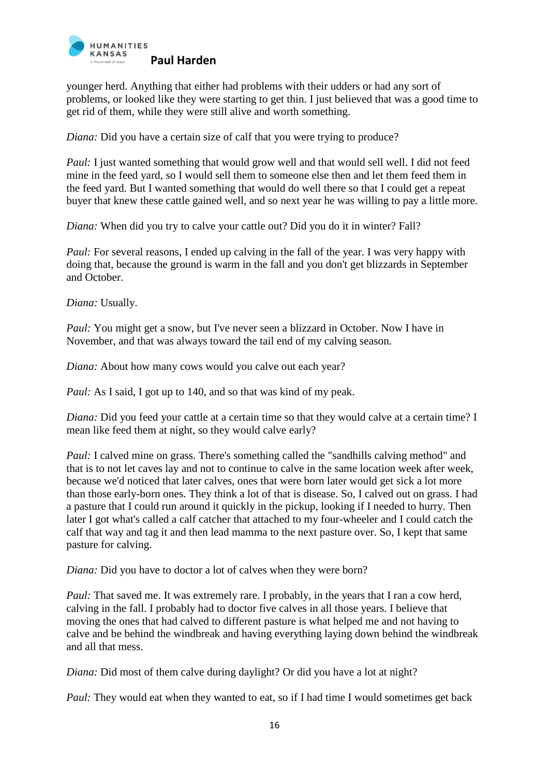

younger herd. Anything that either had problems with their udders or had any sort of problems, or looked like they were starting to get thin. I just believed that was a good time to get rid of them, while they were still alive and worth something.

*Diana:* Did you have a certain size of calf that you were trying to produce?

*Paul:* I just wanted something that would grow well and that would sell well. I did not feed mine in the feed yard, so I would sell them to someone else then and let them feed them in the feed yard. But I wanted something that would do well there so that I could get a repeat buyer that knew these cattle gained well, and so next year he was willing to pay a little more.

*Diana:* When did you try to calve your cattle out? Did you do it in winter? Fall?

*Paul:* For several reasons, I ended up calving in the fall of the year. I was very happy with doing that, because the ground is warm in the fall and you don't get blizzards in September and October.

*Diana:* Usually.

*Paul: You might get a snow, but I've never seen a blizzard in October. Now I have in* November, and that was always toward the tail end of my calving season.

*Diana:* About how many cows would you calve out each year?

*Paul:* As I said, I got up to 140, and so that was kind of my peak.

*Diana:* Did you feed your cattle at a certain time so that they would calve at a certain time? I mean like feed them at night, so they would calve early?

*Paul: I* calved mine on grass. There's something called the "sandhills calving method" and that is to not let caves lay and not to continue to calve in the same location week after week, because we'd noticed that later calves, ones that were born later would get sick a lot more than those early-born ones. They think a lot of that is disease. So, I calved out on grass. I had a pasture that I could run around it quickly in the pickup, looking if I needed to hurry. Then later I got what's called a calf catcher that attached to my four-wheeler and I could catch the calf that way and tag it and then lead mamma to the next pasture over. So, I kept that same pasture for calving.

*Diana:* Did you have to doctor a lot of calves when they were born?

*Paul:* That saved me. It was extremely rare. I probably, in the years that I ran a cow herd, calving in the fall. I probably had to doctor five calves in all those years. I believe that moving the ones that had calved to different pasture is what helped me and not having to calve and be behind the windbreak and having everything laying down behind the windbreak and all that mess.

*Diana:* Did most of them calve during daylight? Or did you have a lot at night?

*Paul:* They would eat when they wanted to eat, so if I had time I would sometimes get back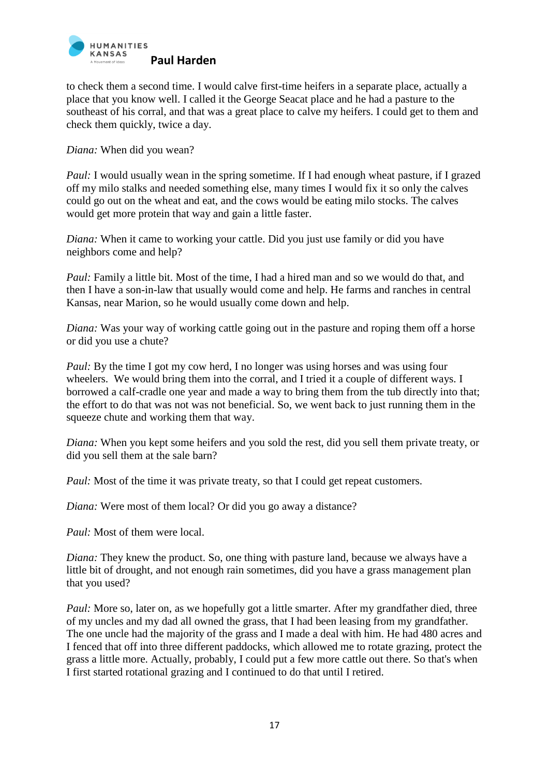

to check them a second time. I would calve first-time heifers in a separate place, actually a place that you know well. I called it the George Seacat place and he had a pasture to the southeast of his corral, and that was a great place to calve my heifers. I could get to them and check them quickly, twice a day.

*Diana:* When did you wean?

*Paul:* I would usually wean in the spring sometime. If I had enough wheat pasture, if I grazed off my milo stalks and needed something else, many times I would fix it so only the calves could go out on the wheat and eat, and the cows would be eating milo stocks. The calves would get more protein that way and gain a little faster.

*Diana:* When it came to working your cattle. Did you just use family or did you have neighbors come and help?

*Paul: Family a little bit. Most of the time, I had a hired man and so we would do that, and* then I have a son-in-law that usually would come and help. He farms and ranches in central Kansas, near Marion, so he would usually come down and help.

*Diana:* Was your way of working cattle going out in the pasture and roping them off a horse or did you use a chute?

*Paul:* By the time I got my cow herd, I no longer was using horses and was using four wheelers. We would bring them into the corral, and I tried it a couple of different ways. I borrowed a calf-cradle one year and made a way to bring them from the tub directly into that; the effort to do that was not was not beneficial. So, we went back to just running them in the squeeze chute and working them that way.

*Diana:* When you kept some heifers and you sold the rest, did you sell them private treaty, or did you sell them at the sale barn?

*Paul:* Most of the time it was private treaty, so that I could get repeat customers.

*Diana:* Were most of them local? Or did you go away a distance?

*Paul:* Most of them were local.

*Diana:* They knew the product. So, one thing with pasture land, because we always have a little bit of drought, and not enough rain sometimes, did you have a grass management plan that you used?

*Paul:* More so, later on, as we hopefully got a little smarter. After my grandfather died, three of my uncles and my dad all owned the grass, that I had been leasing from my grandfather. The one uncle had the majority of the grass and I made a deal with him. He had 480 acres and I fenced that off into three different paddocks, which allowed me to rotate grazing, protect the grass a little more. Actually, probably, I could put a few more cattle out there. So that's when I first started rotational grazing and I continued to do that until I retired.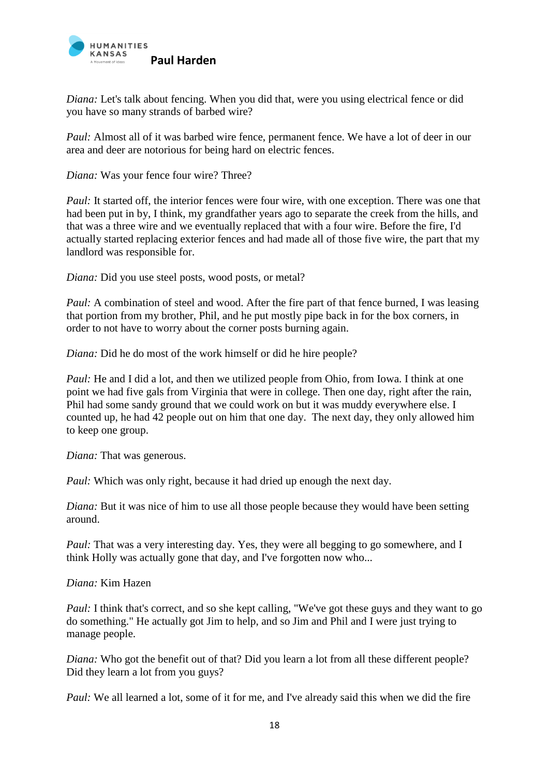

*Diana:* Let's talk about fencing. When you did that, were you using electrical fence or did you have so many strands of barbed wire?

*Paul:* Almost all of it was barbed wire fence, permanent fence. We have a lot of deer in our area and deer are notorious for being hard on electric fences.

*Diana:* Was your fence four wire? Three?

*Paul:* It started off, the interior fences were four wire, with one exception. There was one that had been put in by, I think, my grandfather years ago to separate the creek from the hills, and that was a three wire and we eventually replaced that with a four wire. Before the fire, I'd actually started replacing exterior fences and had made all of those five wire, the part that my landlord was responsible for.

*Diana:* Did you use steel posts, wood posts, or metal?

*Paul:* A combination of steel and wood. After the fire part of that fence burned, I was leasing that portion from my brother, Phil, and he put mostly pipe back in for the box corners, in order to not have to worry about the corner posts burning again.

*Diana:* Did he do most of the work himself or did he hire people?

*Paul:* He and I did a lot, and then we utilized people from Ohio, from Iowa. I think at one point we had five gals from Virginia that were in college. Then one day, right after the rain, Phil had some sandy ground that we could work on but it was muddy everywhere else. I counted up, he had 42 people out on him that one day. The next day, they only allowed him to keep one group.

*Diana:* That was generous.

*Paul:* Which was only right, because it had dried up enough the next day.

*Diana:* But it was nice of him to use all those people because they would have been setting around.

*Paul:* That was a very interesting day. Yes, they were all begging to go somewhere, and I think Holly was actually gone that day, and I've forgotten now who...

*Diana:* Kim Hazen

*Paul: I think that's correct, and so she kept calling, "We've got these guys and they want to go* do something." He actually got Jim to help, and so Jim and Phil and I were just trying to manage people.

*Diana:* Who got the benefit out of that? Did you learn a lot from all these different people? Did they learn a lot from you guys?

*Paul:* We all learned a lot, some of it for me, and I've already said this when we did the fire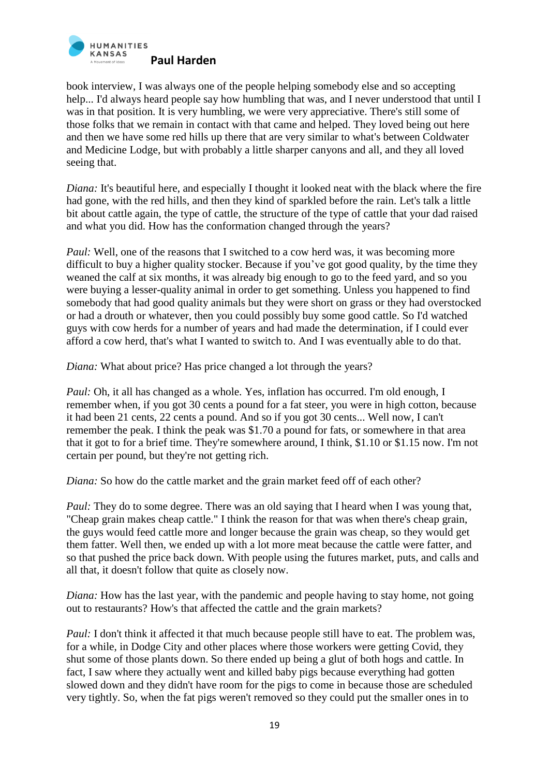

book interview, I was always one of the people helping somebody else and so accepting help... I'd always heard people say how humbling that was, and I never understood that until I was in that position. It is very humbling, we were very appreciative. There's still some of those folks that we remain in contact with that came and helped. They loved being out here and then we have some red hills up there that are very similar to what's between Coldwater and Medicine Lodge, but with probably a little sharper canyons and all, and they all loved seeing that.

*Diana:* It's beautiful here, and especially I thought it looked neat with the black where the fire had gone, with the red hills, and then they kind of sparkled before the rain. Let's talk a little bit about cattle again, the type of cattle, the structure of the type of cattle that your dad raised and what you did. How has the conformation changed through the years?

*Paul:* Well, one of the reasons that I switched to a cow herd was, it was becoming more difficult to buy a higher quality stocker. Because if you've got good quality, by the time they weaned the calf at six months, it was already big enough to go to the feed yard, and so you were buying a lesser-quality animal in order to get something. Unless you happened to find somebody that had good quality animals but they were short on grass or they had overstocked or had a drouth or whatever, then you could possibly buy some good cattle. So I'd watched guys with cow herds for a number of years and had made the determination, if I could ever afford a cow herd, that's what I wanted to switch to. And I was eventually able to do that.

*Diana:* What about price? Has price changed a lot through the years?

*Paul:* Oh, it all has changed as a whole. Yes, inflation has occurred. I'm old enough, I remember when, if you got 30 cents a pound for a fat steer, you were in high cotton, because it had been 21 cents, 22 cents a pound. And so if you got 30 cents... Well now, I can't remember the peak. I think the peak was \$1.70 a pound for fats, or somewhere in that area that it got to for a brief time. They're somewhere around, I think, \$1.10 or \$1.15 now. I'm not certain per pound, but they're not getting rich.

*Diana:* So how do the cattle market and the grain market feed off of each other?

*Paul:* They do to some degree. There was an old saying that I heard when I was young that, "Cheap grain makes cheap cattle." I think the reason for that was when there's cheap grain, the guys would feed cattle more and longer because the grain was cheap, so they would get them fatter. Well then, we ended up with a lot more meat because the cattle were fatter, and so that pushed the price back down. With people using the futures market, puts, and calls and all that, it doesn't follow that quite as closely now.

*Diana:* How has the last year, with the pandemic and people having to stay home, not going out to restaurants? How's that affected the cattle and the grain markets?

*Paul: I don't think it affected it that much because people still have to eat. The problem was,* for a while, in Dodge City and other places where those workers were getting Covid, they shut some of those plants down. So there ended up being a glut of both hogs and cattle. In fact, I saw where they actually went and killed baby pigs because everything had gotten slowed down and they didn't have room for the pigs to come in because those are scheduled very tightly. So, when the fat pigs weren't removed so they could put the smaller ones in to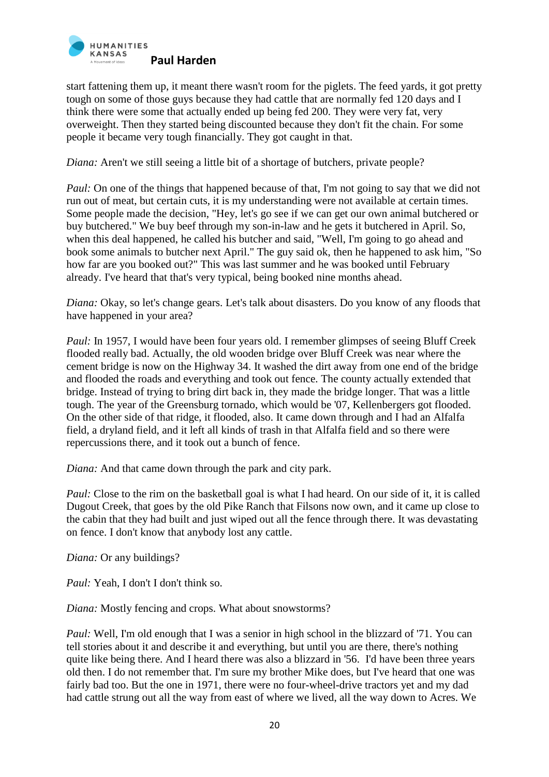

start fattening them up, it meant there wasn't room for the piglets. The feed yards, it got pretty tough on some of those guys because they had cattle that are normally fed 120 days and I think there were some that actually ended up being fed 200. They were very fat, very overweight. Then they started being discounted because they don't fit the chain. For some people it became very tough financially. They got caught in that.

*Diana:* Aren't we still seeing a little bit of a shortage of butchers, private people?

*Paul:* On one of the things that happened because of that, I'm not going to say that we did not run out of meat, but certain cuts, it is my understanding were not available at certain times. Some people made the decision, "Hey, let's go see if we can get our own animal butchered or buy butchered." We buy beef through my son-in-law and he gets it butchered in April. So, when this deal happened, he called his butcher and said, "Well, I'm going to go ahead and book some animals to butcher next April." The guy said ok, then he happened to ask him, "So how far are you booked out?" This was last summer and he was booked until February already. I've heard that that's very typical, being booked nine months ahead.

*Diana:* Okay, so let's change gears. Let's talk about disasters. Do you know of any floods that have happened in your area?

*Paul:* In 1957, I would have been four years old. I remember glimpses of seeing Bluff Creek flooded really bad. Actually, the old wooden bridge over Bluff Creek was near where the cement bridge is now on the Highway 34. It washed the dirt away from one end of the bridge and flooded the roads and everything and took out fence. The county actually extended that bridge. Instead of trying to bring dirt back in, they made the bridge longer. That was a little tough. The year of the Greensburg tornado, which would be '07, Kellenbergers got flooded. On the other side of that ridge, it flooded, also. It came down through and I had an Alfalfa field, a dryland field, and it left all kinds of trash in that Alfalfa field and so there were repercussions there, and it took out a bunch of fence.

*Diana:* And that came down through the park and city park.

*Paul:* Close to the rim on the basketball goal is what I had heard. On our side of it, it is called Dugout Creek, that goes by the old Pike Ranch that Filsons now own, and it came up close to the cabin that they had built and just wiped out all the fence through there. It was devastating on fence. I don't know that anybody lost any cattle.

*Diana:* Or any buildings?

*Paul:* Yeah, I don't I don't think so.

*Diana:* Mostly fencing and crops. What about snowstorms?

*Paul:* Well, I'm old enough that I was a senior in high school in the blizzard of '71. You can tell stories about it and describe it and everything, but until you are there, there's nothing quite like being there. And I heard there was also a blizzard in '56. I'd have been three years old then. I do not remember that. I'm sure my brother Mike does, but I've heard that one was fairly bad too. But the one in 1971, there were no four-wheel-drive tractors yet and my dad had cattle strung out all the way from east of where we lived, all the way down to Acres. We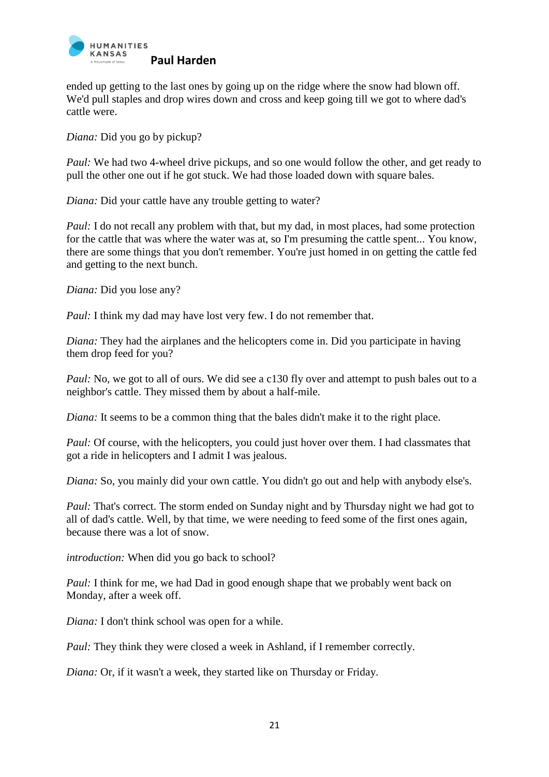

ended up getting to the last ones by going up on the ridge where the snow had blown off. We'd pull staples and drop wires down and cross and keep going till we got to where dad's cattle were.

*Diana:* Did you go by pickup?

*Paul:* We had two 4-wheel drive pickups, and so one would follow the other, and get ready to pull the other one out if he got stuck. We had those loaded down with square bales.

*Diana:* Did your cattle have any trouble getting to water?

*Paul: I do not recall any problem with that, but my dad, in most places, had some protection* for the cattle that was where the water was at, so I'm presuming the cattle spent... You know, there are some things that you don't remember. You're just homed in on getting the cattle fed and getting to the next bunch.

*Diana:* Did you lose any?

*Paul:* I think my dad may have lost very few. I do not remember that.

*Diana:* They had the airplanes and the helicopters come in. Did you participate in having them drop feed for you?

*Paul:* No, we got to all of ours. We did see a c130 fly over and attempt to push bales out to a neighbor's cattle. They missed them by about a half-mile.

*Diana:* It seems to be a common thing that the bales didn't make it to the right place.

*Paul:* Of course, with the helicopters, you could just hover over them. I had classmates that got a ride in helicopters and I admit I was jealous.

*Diana:* So, you mainly did your own cattle. You didn't go out and help with anybody else's.

*Paul:* That's correct. The storm ended on Sunday night and by Thursday night we had got to all of dad's cattle. Well, by that time, we were needing to feed some of the first ones again, because there was a lot of snow.

*introduction:* When did you go back to school?

*Paul:* I think for me, we had Dad in good enough shape that we probably went back on Monday, after a week off.

*Diana:* I don't think school was open for a while.

*Paul:* They think they were closed a week in Ashland, if I remember correctly.

*Diana:* Or, if it wasn't a week, they started like on Thursday or Friday.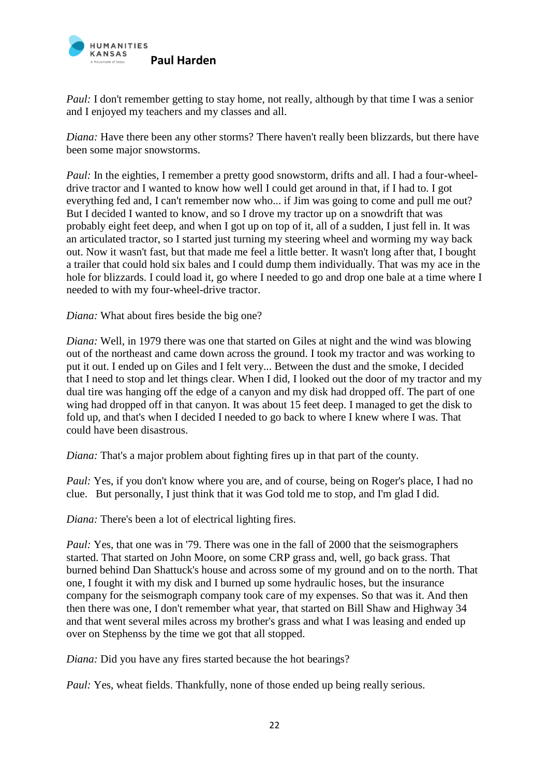

*Paul: I don't remember getting to stay home, not really, although by that time I was a senior* and I enjoyed my teachers and my classes and all.

*Diana:* Have there been any other storms? There haven't really been blizzards, but there have been some major snowstorms.

*Paul:* In the eighties, I remember a pretty good snowstorm, drifts and all. I had a four-wheeldrive tractor and I wanted to know how well I could get around in that, if I had to. I got everything fed and, I can't remember now who... if Jim was going to come and pull me out? But I decided I wanted to know, and so I drove my tractor up on a snowdrift that was probably eight feet deep, and when I got up on top of it, all of a sudden, I just fell in. It was an articulated tractor, so I started just turning my steering wheel and worming my way back out. Now it wasn't fast, but that made me feel a little better. It wasn't long after that, I bought a trailer that could hold six bales and I could dump them individually. That was my ace in the hole for blizzards. I could load it, go where I needed to go and drop one bale at a time where I needed to with my four-wheel-drive tractor.

*Diana:* What about fires beside the big one?

*Diana:* Well, in 1979 there was one that started on Giles at night and the wind was blowing out of the northeast and came down across the ground. I took my tractor and was working to put it out. I ended up on Giles and I felt very... Between the dust and the smoke, I decided that I need to stop and let things clear. When I did, I looked out the door of my tractor and my dual tire was hanging off the edge of a canyon and my disk had dropped off. The part of one wing had dropped off in that canyon. It was about 15 feet deep. I managed to get the disk to fold up, and that's when I decided I needed to go back to where I knew where I was. That could have been disastrous.

*Diana:* That's a major problem about fighting fires up in that part of the county.

*Paul: Yes, if you don't know where you are, and of course, being on Roger's place, I had no* clue. But personally, I just think that it was God told me to stop, and I'm glad I did.

*Diana:* There's been a lot of electrical lighting fires.

*Paul: Yes, that one was in '79. There was one in the fall of 2000 that the seismographers* started. That started on John Moore, on some CRP grass and, well, go back grass. That burned behind Dan Shattuck's house and across some of my ground and on to the north. That one, I fought it with my disk and I burned up some hydraulic hoses, but the insurance company for the seismograph company took care of my expenses. So that was it. And then then there was one, I don't remember what year, that started on Bill Shaw and Highway 34 and that went several miles across my brother's grass and what I was leasing and ended up over on Stephenss by the time we got that all stopped.

*Diana:* Did you have any fires started because the hot bearings?

*Paul: Yes, wheat fields. Thankfully, none of those ended up being really serious.*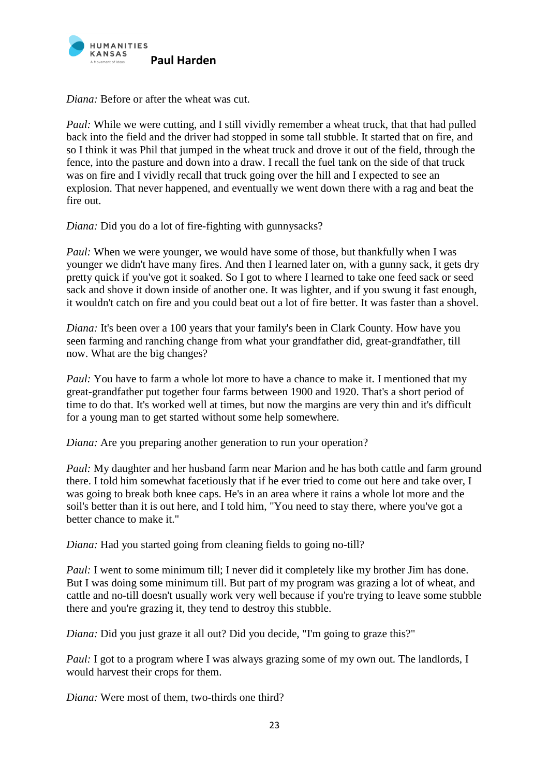

*Diana:* Before or after the wheat was cut.

*Paul:* While we were cutting, and I still vividly remember a wheat truck, that that had pulled back into the field and the driver had stopped in some tall stubble. It started that on fire, and so I think it was Phil that jumped in the wheat truck and drove it out of the field, through the fence, into the pasture and down into a draw. I recall the fuel tank on the side of that truck was on fire and I vividly recall that truck going over the hill and I expected to see an explosion. That never happened, and eventually we went down there with a rag and beat the fire out.

*Diana:* Did you do a lot of fire-fighting with gunnysacks?

*Paul:* When we were younger, we would have some of those, but thankfully when I was younger we didn't have many fires. And then I learned later on, with a gunny sack, it gets dry pretty quick if you've got it soaked. So I got to where I learned to take one feed sack or seed sack and shove it down inside of another one. It was lighter, and if you swung it fast enough, it wouldn't catch on fire and you could beat out a lot of fire better. It was faster than a shovel.

*Diana:* It's been over a 100 years that your family's been in Clark County. How have you seen farming and ranching change from what your grandfather did, great-grandfather, till now. What are the big changes?

*Paul: You have to farm a whole lot more to have a chance to make it. I mentioned that my* great-grandfather put together four farms between 1900 and 1920. That's a short period of time to do that. It's worked well at times, but now the margins are very thin and it's difficult for a young man to get started without some help somewhere.

*Diana:* Are you preparing another generation to run your operation?

*Paul:* My daughter and her husband farm near Marion and he has both cattle and farm ground there. I told him somewhat facetiously that if he ever tried to come out here and take over, I was going to break both knee caps. He's in an area where it rains a whole lot more and the soil's better than it is out here, and I told him, "You need to stay there, where you've got a better chance to make it."

*Diana:* Had you started going from cleaning fields to going no-till?

*Paul:* I went to some minimum till; I never did it completely like my brother Jim has done. But I was doing some minimum till. But part of my program was grazing a lot of wheat, and cattle and no-till doesn't usually work very well because if you're trying to leave some stubble there and you're grazing it, they tend to destroy this stubble.

*Diana:* Did you just graze it all out? Did you decide, "I'm going to graze this?"

*Paul:* I got to a program where I was always grazing some of my own out. The landlords, I would harvest their crops for them.

*Diana:* Were most of them, two-thirds one third?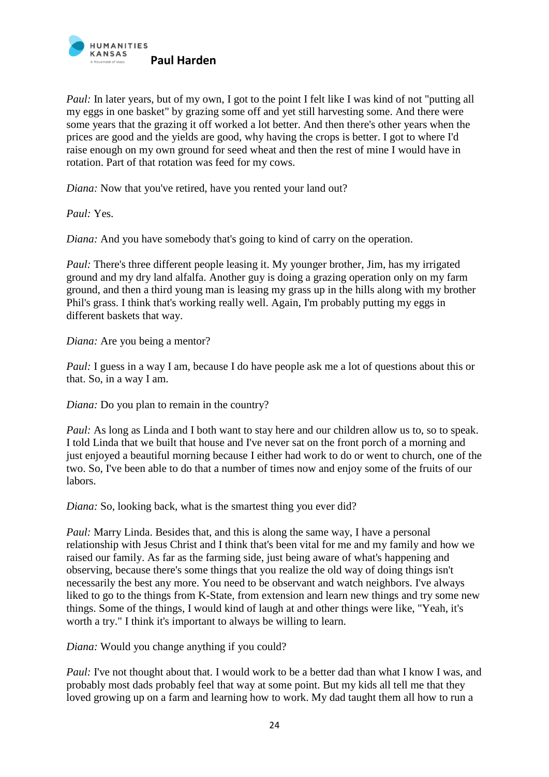

*Paul:* In later years, but of my own, I got to the point I felt like I was kind of not "putting all my eggs in one basket" by grazing some off and yet still harvesting some. And there were some years that the grazing it off worked a lot better. And then there's other years when the prices are good and the yields are good, why having the crops is better. I got to where I'd raise enough on my own ground for seed wheat and then the rest of mine I would have in rotation. Part of that rotation was feed for my cows.

*Diana:* Now that you've retired, have you rented your land out?

*Paul:* Yes.

*Diana:* And you have somebody that's going to kind of carry on the operation.

*Paul:* There's three different people leasing it. My younger brother, Jim, has my irrigated ground and my dry land alfalfa. Another guy is doing a grazing operation only on my farm ground, and then a third young man is leasing my grass up in the hills along with my brother Phil's grass. I think that's working really well. Again, I'm probably putting my eggs in different baskets that way.

*Diana:* Are you being a mentor?

*Paul:* I guess in a way I am, because I do have people ask me a lot of questions about this or that. So, in a way I am.

*Diana:* Do you plan to remain in the country?

*Paul:* As long as Linda and I both want to stay here and our children allow us to, so to speak. I told Linda that we built that house and I've never sat on the front porch of a morning and just enjoyed a beautiful morning because I either had work to do or went to church, one of the two. So, I've been able to do that a number of times now and enjoy some of the fruits of our labors.

*Diana:* So, looking back, what is the smartest thing you ever did?

*Paul:* Marry Linda. Besides that, and this is along the same way, I have a personal relationship with Jesus Christ and I think that's been vital for me and my family and how we raised our family. As far as the farming side, just being aware of what's happening and observing, because there's some things that you realize the old way of doing things isn't necessarily the best any more. You need to be observant and watch neighbors. I've always liked to go to the things from K-State, from extension and learn new things and try some new things. Some of the things, I would kind of laugh at and other things were like, "Yeah, it's worth a try." I think it's important to always be willing to learn.

*Diana:* Would you change anything if you could?

*Paul: I've not thought about that. I would work to be a better dad than what I know I was, and* probably most dads probably feel that way at some point. But my kids all tell me that they loved growing up on a farm and learning how to work. My dad taught them all how to run a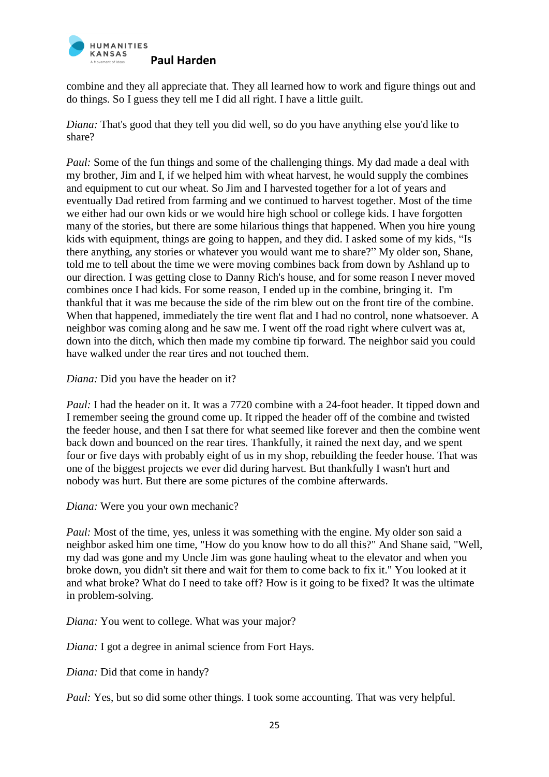

combine and they all appreciate that. They all learned how to work and figure things out and do things. So I guess they tell me I did all right. I have a little guilt.

*Diana:* That's good that they tell you did well, so do you have anything else you'd like to share?

*Paul:* Some of the fun things and some of the challenging things. My dad made a deal with my brother, Jim and I, if we helped him with wheat harvest, he would supply the combines and equipment to cut our wheat. So Jim and I harvested together for a lot of years and eventually Dad retired from farming and we continued to harvest together. Most of the time we either had our own kids or we would hire high school or college kids. I have forgotten many of the stories, but there are some hilarious things that happened. When you hire young kids with equipment, things are going to happen, and they did. I asked some of my kids, "Is there anything, any stories or whatever you would want me to share?" My older son, Shane, told me to tell about the time we were moving combines back from down by Ashland up to our direction. I was getting close to Danny Rich's house, and for some reason I never moved combines once I had kids. For some reason, I ended up in the combine, bringing it. I'm thankful that it was me because the side of the rim blew out on the front tire of the combine. When that happened, immediately the tire went flat and I had no control, none whatsoever. A neighbor was coming along and he saw me. I went off the road right where culvert was at, down into the ditch, which then made my combine tip forward. The neighbor said you could have walked under the rear tires and not touched them.

*Diana:* Did you have the header on it?

*Paul:* I had the header on it. It was a 7720 combine with a 24-foot header. It tipped down and I remember seeing the ground come up. It ripped the header off of the combine and twisted the feeder house, and then I sat there for what seemed like forever and then the combine went back down and bounced on the rear tires. Thankfully, it rained the next day, and we spent four or five days with probably eight of us in my shop, rebuilding the feeder house. That was one of the biggest projects we ever did during harvest. But thankfully I wasn't hurt and nobody was hurt. But there are some pictures of the combine afterwards.

*Diana:* Were you your own mechanic?

*Paul:* Most of the time, yes, unless it was something with the engine. My older son said a neighbor asked him one time, "How do you know how to do all this?" And Shane said, "Well, my dad was gone and my Uncle Jim was gone hauling wheat to the elevator and when you broke down, you didn't sit there and wait for them to come back to fix it." You looked at it and what broke? What do I need to take off? How is it going to be fixed? It was the ultimate in problem-solving.

*Diana:* You went to college. What was your major?

*Diana:* I got a degree in animal science from Fort Hays.

*Diana:* Did that come in handy?

*Paul: Yes, but so did some other things. I took some accounting. That was very helpful.*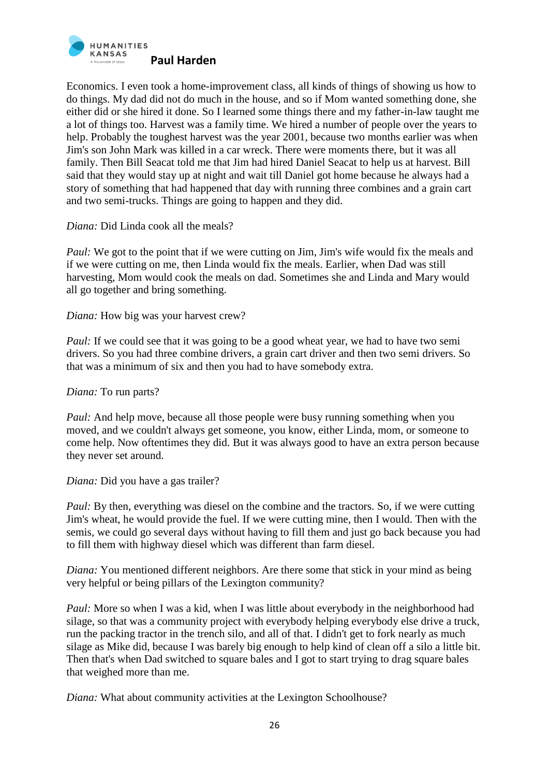

Economics. I even took a home-improvement class, all kinds of things of showing us how to do things. My dad did not do much in the house, and so if Mom wanted something done, she either did or she hired it done. So I learned some things there and my father-in-law taught me a lot of things too. Harvest was a family time. We hired a number of people over the years to help. Probably the toughest harvest was the year 2001, because two months earlier was when Jim's son John Mark was killed in a car wreck. There were moments there, but it was all family. Then Bill Seacat told me that Jim had hired Daniel Seacat to help us at harvest. Bill said that they would stay up at night and wait till Daniel got home because he always had a story of something that had happened that day with running three combines and a grain cart and two semi-trucks. Things are going to happen and they did.

*Diana:* Did Linda cook all the meals?

*Paul:* We got to the point that if we were cutting on Jim, Jim's wife would fix the meals and if we were cutting on me, then Linda would fix the meals. Earlier, when Dad was still harvesting, Mom would cook the meals on dad. Sometimes she and Linda and Mary would all go together and bring something.

*Diana:* How big was your harvest crew?

*Paul:* If we could see that it was going to be a good wheat year, we had to have two semi drivers. So you had three combine drivers, a grain cart driver and then two semi drivers. So that was a minimum of six and then you had to have somebody extra.

*Diana:* To run parts?

*Paul:* And help move, because all those people were busy running something when you moved, and we couldn't always get someone, you know, either Linda, mom, or someone to come help. Now oftentimes they did. But it was always good to have an extra person because they never set around.

*Diana:* Did you have a gas trailer?

*Paul:* By then, everything was diesel on the combine and the tractors. So, if we were cutting Jim's wheat, he would provide the fuel. If we were cutting mine, then I would. Then with the semis, we could go several days without having to fill them and just go back because you had to fill them with highway diesel which was different than farm diesel.

*Diana:* You mentioned different neighbors. Are there some that stick in your mind as being very helpful or being pillars of the Lexington community?

*Paul:* More so when I was a kid, when I was little about everybody in the neighborhood had silage, so that was a community project with everybody helping everybody else drive a truck, run the packing tractor in the trench silo, and all of that. I didn't get to fork nearly as much silage as Mike did, because I was barely big enough to help kind of clean off a silo a little bit. Then that's when Dad switched to square bales and I got to start trying to drag square bales that weighed more than me.

*Diana:* What about community activities at the Lexington Schoolhouse?